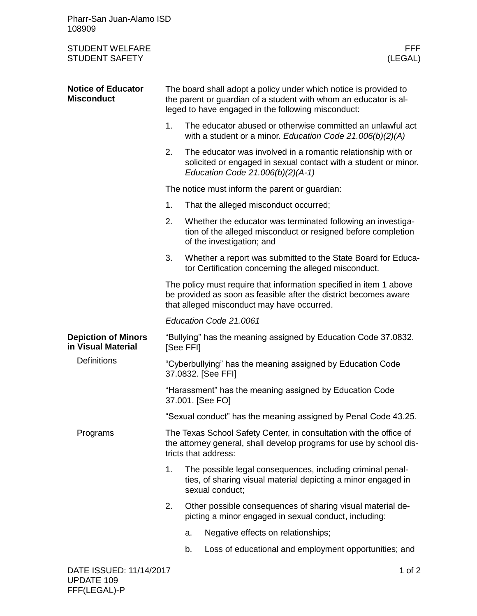| Pharr-San Juan-Alamo ISD<br>108909               |                                                                                                                                                                                            |                                                                                                                                                                                      |                                                                                                                                                                     |  |
|--------------------------------------------------|--------------------------------------------------------------------------------------------------------------------------------------------------------------------------------------------|--------------------------------------------------------------------------------------------------------------------------------------------------------------------------------------|---------------------------------------------------------------------------------------------------------------------------------------------------------------------|--|
| <b>STUDENT WELFARE</b><br><b>STUDENT SAFETY</b>  |                                                                                                                                                                                            |                                                                                                                                                                                      | FFF.<br>(LEGAL)                                                                                                                                                     |  |
| <b>Notice of Educator</b><br><b>Misconduct</b>   | The board shall adopt a policy under which notice is provided to<br>the parent or guardian of a student with whom an educator is al-<br>leged to have engaged in the following misconduct: |                                                                                                                                                                                      |                                                                                                                                                                     |  |
|                                                  | 1.                                                                                                                                                                                         |                                                                                                                                                                                      | The educator abused or otherwise committed an unlawful act<br>with a student or a minor. Education Code 21.006(b)(2)(A)                                             |  |
|                                                  | 2.                                                                                                                                                                                         |                                                                                                                                                                                      | The educator was involved in a romantic relationship with or<br>solicited or engaged in sexual contact with a student or minor.<br>Education Code 21.006(b)(2)(A-1) |  |
|                                                  |                                                                                                                                                                                            | The notice must inform the parent or guardian:                                                                                                                                       |                                                                                                                                                                     |  |
|                                                  | 1.                                                                                                                                                                                         |                                                                                                                                                                                      | That the alleged misconduct occurred;                                                                                                                               |  |
|                                                  | 2.                                                                                                                                                                                         |                                                                                                                                                                                      | Whether the educator was terminated following an investiga-<br>tion of the alleged misconduct or resigned before completion<br>of the investigation; and            |  |
|                                                  | 3.                                                                                                                                                                                         |                                                                                                                                                                                      | Whether a report was submitted to the State Board for Educa-<br>tor Certification concerning the alleged misconduct.                                                |  |
|                                                  |                                                                                                                                                                                            | The policy must require that information specified in item 1 above<br>be provided as soon as feasible after the district becomes aware<br>that alleged misconduct may have occurred. |                                                                                                                                                                     |  |
|                                                  |                                                                                                                                                                                            | Education Code 21.0061                                                                                                                                                               |                                                                                                                                                                     |  |
| <b>Depiction of Minors</b><br>in Visual Material | "Bullying" has the meaning assigned by Education Code 37.0832.<br><b>ISee FFII</b>                                                                                                         |                                                                                                                                                                                      |                                                                                                                                                                     |  |
| <b>Definitions</b>                               | "Cyberbullying" has the meaning assigned by Education Code<br>37.0832. [See FFI]                                                                                                           |                                                                                                                                                                                      |                                                                                                                                                                     |  |
|                                                  | "Harassment" has the meaning assigned by Education Code<br>37.001. [See FO]                                                                                                                |                                                                                                                                                                                      |                                                                                                                                                                     |  |
|                                                  | "Sexual conduct" has the meaning assigned by Penal Code 43.25.                                                                                                                             |                                                                                                                                                                                      |                                                                                                                                                                     |  |
| Programs                                         |                                                                                                                                                                                            | The Texas School Safety Center, in consultation with the office of<br>the attorney general, shall develop programs for use by school dis-<br>tricts that address:                    |                                                                                                                                                                     |  |
|                                                  | 1.                                                                                                                                                                                         |                                                                                                                                                                                      | The possible legal consequences, including criminal penal-<br>ties, of sharing visual material depicting a minor engaged in<br>sexual conduct;                      |  |
|                                                  | 2.                                                                                                                                                                                         |                                                                                                                                                                                      | Other possible consequences of sharing visual material de-<br>picting a minor engaged in sexual conduct, including:                                                 |  |
|                                                  |                                                                                                                                                                                            | a.                                                                                                                                                                                   | Negative effects on relationships;                                                                                                                                  |  |
|                                                  |                                                                                                                                                                                            | b.                                                                                                                                                                                   | Loss of educational and employment opportunities; and                                                                                                               |  |
| DATE ISSUED: 11/14/2017<br>1 of $2$              |                                                                                                                                                                                            |                                                                                                                                                                                      |                                                                                                                                                                     |  |